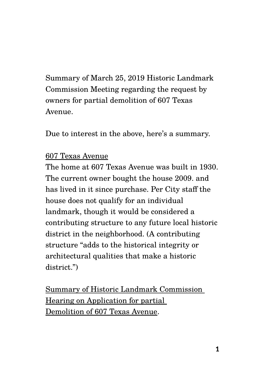Summary of March 25, 2019 Historic Landmark Commission Meeting regarding the request by owners for partial demolition of 607 Texas Avenue.

Due to interest in the above, here's a summary.

## 607 Texas Avenue

The home at 607 Texas Avenue was built in 1930. The current owner bought the house 2009. and has lived in it since purchase. Per City staff the house does not qualify for an individual landmark, though it would be considered a contributing structure to any future local historic district in the neighborhood. (A contributing structure "adds to the historical integrity or architectural qualities that make a historic district.")

Summary of Historic Landmark Commission Hearing on Application for partial Demolition of 607 Texas Avenue.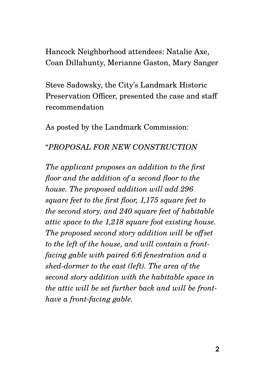Hancock Neighborhood attendees: Natalie Axe, Coan Dillahunty, Merianne Gaston, Mary Sanger

Steve Sadowsky, the City's Landmark Historic Preservation Officer, presented the case and staff recommendation

As posted by the Landmark Commission:

# "*PROPOSAL FOR NEW CONSTRUCTION*

*The applicant proposes an addition to the first floor and the addition of a second floor to the house. The proposed addition will add 296 square feet to the first floor, 1,175 square feet to the second story, and 240 square feet of habitable attic space to the 1,218 square foot existing house. The proposed second story addition will be offset to the left of the house, and will contain a frontfacing gable with paired 6:6 fenestration and a shed-dormer to the east (left). The area of the second story addition with the habitable space in the attic will be set further back and will be fronthave a front-facing gable.*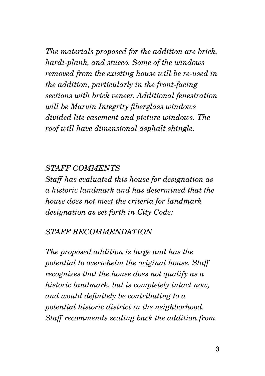*The materials proposed for the addition are brick, hardi-plank, and stucco. Some of the windows removed from the existing house will be re-used in the addition, particularly in the front-facing sections with brick veneer. Additional fenestration will be Marvin Integrity fiberglass windows divided lite casement and picture windows. The roof will have dimensional asphalt shingle.* 

### *STAFF COMMENTS*

*Staff has evaluated this house for designation as a historic landmark and has determined that the house does not meet the criteria for landmark designation as set forth in City Code:* 

#### *STAFF RECOMMENDATION*

*The proposed addition is large and has the potential to overwhelm the original house. Staff recognizes that the house does not qualify as a historic landmark, but is completely intact now, and would definitely be contributing to a potential historic district in the neighborhood. Staff recommends scaling back the addition from*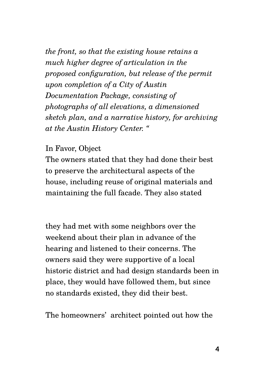*the front, so that the existing house retains a much higher degree of articulation in the proposed configuration, but release of the permit upon completion of a City of Austin Documentation Package, consisting of photographs of all elevations, a dimensioned sketch plan, and a narrative history, for archiving at the Austin History Center. "*

#### In Favor, Object

The owners stated that they had done their best to preserve the architectural aspects of the house, including reuse of original materials and maintaining the full facade. They also stated

they had met with some neighbors over the weekend about their plan in advance of the hearing and listened to their concerns. The owners said they were supportive of a local historic district and had design standards been in place, they would have followed them, but since no standards existed, they did their best.

The homeowners' architect pointed out how the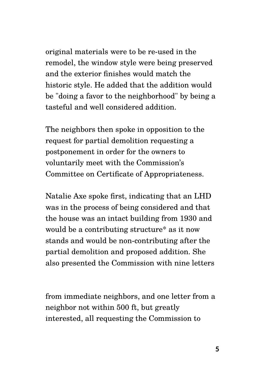original materials were to be re-used in the remodel, the window style were being preserved and the exterior finishes would match the historic style. He added that the addition would be "doing a favor to the neighborhood" by being a tasteful and well considered addition.

The neighbors then spoke in opposition to the request for partial demolition requesting a postponement in order for the owners to voluntarily meet with the Commission's Committee on Certificate of Appropriateness.

Natalie Axe spoke first, indicating that an LHD was in the process of being considered and that the house was an intact building from 1930 and would be a contributing structure\* as it now stands and would be non-contributing after the partial demolition and proposed addition. She also presented the Commission with nine letters

from immediate neighbors, and one letter from a neighbor not within 500 ft, but greatly interested, all requesting the Commission to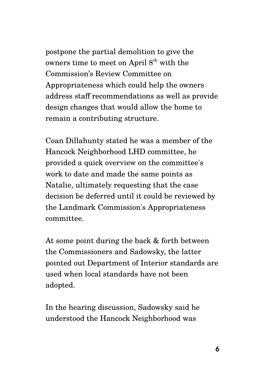postpone the partial demolition to give the owners time to meet on April  $8<sup>th</sup>$  with the Commission's Review Committee on Appropriateness which could help the owners address staff recommendations as well as provide design changes that would allow the home to remain a contributing structure.

Coan Dillahunty stated he was a member of the Hancock Neighborhood LHD committee, he provided a quick overview on the committee's work to date and made the same points as Natalie, ultimately requesting that the case decision be deferred until it could be reviewed by the Landmark Commission's Appropriateness committee.

At some point during the back & forth between the Commissioners and Sadowsky, the latter pointed out Department of Interior standards are used when local standards have not been adopted.

In the hearing discussion, Sadowsky said he understood the Hancock Neighborhood was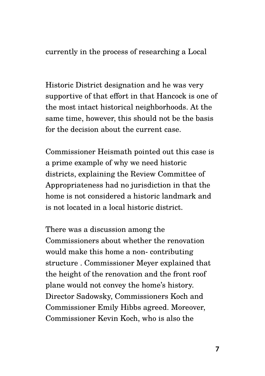currently in the process of researching a Local

Historic District designation and he was very supportive of that effort in that Hancock is one of the most intact historical neighborhoods. At the same time, however, this should not be the basis for the decision about the current case.

Commissioner Heismath pointed out this case is a prime example of why we need historic districts, explaining the Review Committee of Appropriateness had no jurisdiction in that the home is not considered a historic landmark and is not located in a local historic district.

There was a discussion among the Commissioners about whether the renovation would make this home a non- contributing structure . Commissioner Meyer explained that the height of the renovation and the front roof plane would not convey the home's history. Director Sadowsky, Commissioners Koch and Commissioner Emily Hibbs agreed. Moreover, Commissioner Kevin Koch, who is also the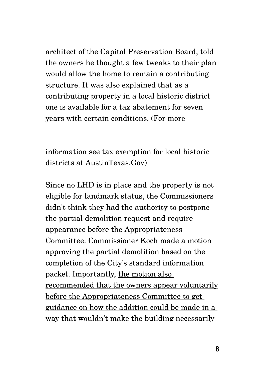architect of the Capitol Preservation Board, told the owners he thought a few tweaks to their plan would allow the home to remain a contributing structure. It was also explained that as a contributing property in a local historic district one is available for a tax abatement for seven years with certain conditions. (For more

information see tax exemption for local historic districts at AustinTexas.Gov)

Since no LHD is in place and the property is not eligible for landmark status, the Commissioners didn't think they had the authority to postpone the partial demolition request and require appearance before the Appropriateness Committee. Commissioner Koch made a motion approving the partial demolition based on the completion of the City's standard information packet. Importantly, the motion also recommended that the owners appear voluntarily before the Appropriateness Committee to get guidance on how the addition could be made in a way that wouldn't make the building necessarily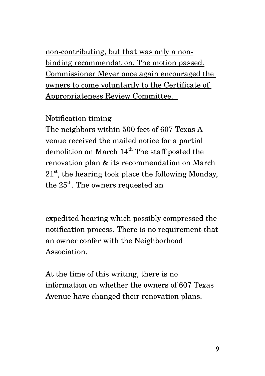non-contributing, but that was only a nonbinding recommendation. The motion passed. Commissioner Meyer once again encouraged the owners to come voluntarily to the Certificate of Appropriateness Review Committee.

Notification timing

The neighbors within 500 feet of 607 Texas A venue received the mailed notice for a partial demolition on March  $14<sup>th</sup>$  The staff posted the renovation plan & its recommendation on March  $21<sup>st</sup>$ , the hearing took place the following Monday, the  $25<sup>th</sup>$ . The owners requested an

expedited hearing which possibly compressed the notification process. There is no requirement that an owner confer with the Neighborhood **Association** 

At the time of this writing, there is no information on whether the owners of 607 Texas Avenue have changed their renovation plans.